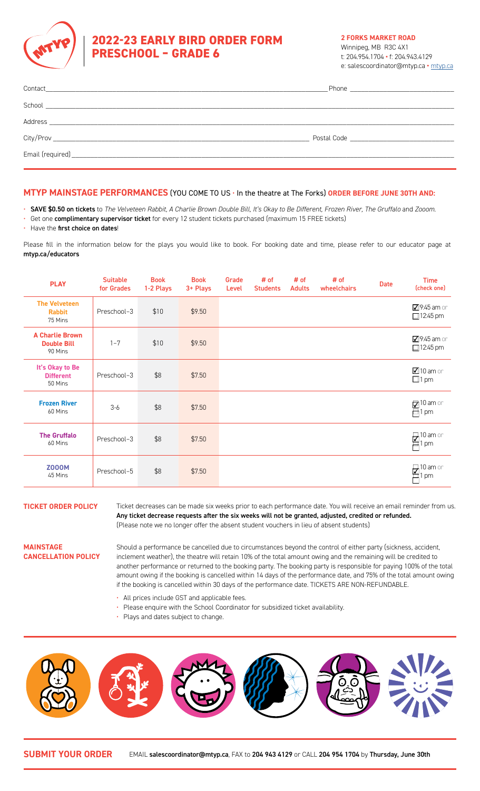

# **2022-23 EARLY BIRD ORDER FORM PRESCHOOL – GRADE 6**

**2 FORKS MARKET ROAD**

Winnipeg, MB R3C 4X1 t: 204.954.1704 **•** f: 204.943.4129 e: salescoordinator@mtyp.ca **•** mtyp.ca

### **MTYP MAINSTAGE PERFORMANCES** (YOU COME TO US • In the theatre at The Forks) **ORDER BEFORE JUNE 30TH AND:**

- SAVE \$0.50 on tickets to *The Velveteen Rabbit, A Charlie Brown Double Bill, It's Okay to Be Different, Frozen River, The Gruffalo and Zooom.*
- Get one complimentary supervisor ticket for every 12 student tickets purchased (maximum 15 FREE tickets)
- Have the first choice on dates!

Please fill in the information below for the plays you would like to book. For booking date and time, please refer to our educator page at [mtyp.ca/educators](http://mtyp.ca/educators)

| <b>PLAY</b>                                             | <b>Suitable</b><br>for Grades | <b>Book</b><br>1-2 Plays | <b>Book</b><br>3+ Plays | Grade<br>Level | # of<br><b>Students</b> | # of<br><b>Adults</b> | # of<br>wheelchairs | <b>Date</b> | <b>Time</b><br>(check one)          |
|---------------------------------------------------------|-------------------------------|--------------------------|-------------------------|----------------|-------------------------|-----------------------|---------------------|-------------|-------------------------------------|
| <b>The Velveteen</b><br><b>Rabbit</b><br>75 Mins        | Preschool-3                   | \$10                     | \$9.50                  |                |                         |                       |                     |             | 79:45 am or<br>$\Box$ 12:45 pm      |
| <b>A Charlie Brown</b><br><b>Double Bill</b><br>90 Mins | $1 - 7$                       | \$10                     | \$9.50                  |                |                         |                       |                     |             | 79:45 am or<br>$12:45 \text{ pm}$   |
| It's Okay to Be<br><b>Different</b><br>50 Mins          | Preschool-3                   | \$8                      | \$7.50                  |                |                         |                       |                     |             | $\boxtimes$ 10 am or<br>$\Box$ 1 pm |
| <b>Frozen River</b><br>60 Mins                          | $3-6$                         | \$8                      | \$7.50                  |                |                         |                       |                     |             | $210$ am or<br>百1 pm                |
| <b>The Gruffalo</b><br>60 Mins                          | Preschool-3                   | \$8                      | \$7.50                  |                |                         |                       |                     |             | $\frac{10}{1}$ pm or                |
| <b>Z000M</b><br>45 Mins                                 | Preschool-5                   | \$8                      | \$7.50                  |                |                         |                       |                     |             | 国<br>10 am or<br>pm                 |

**TICKET ORDER POLICY** Ticket decreases can be made six weeks prior to each performance date. You will receive an email reminder from us. Any ticket decrease requests after the six weeks will not be granted, adjusted, credited or refunded. (Please note we no longer offer the absent student vouchers in lieu of absent students)

#### **MAINSTAGE CANCELLATION POLICY**

Should a performance be cancelled due to circumstances beyond the control of either party (sickness, accident, inclement weather), the theatre will retain 10% of the total amount owing and the remaining will be credited to another performance or returned to the booking party. The booking party is responsible for paying 100% of the total amount owing if the booking is cancelled within 14 days of the performance date, and 75% of the total amount owing if the booking is cancelled within 30 days of the performance date. TICKETS ARE NON-REFUNDABLE.

- All prices include GST and applicable fees.
- Please enquire with the School Coordinator for subsidized ticket availability.
- Plays and dates subject to change.